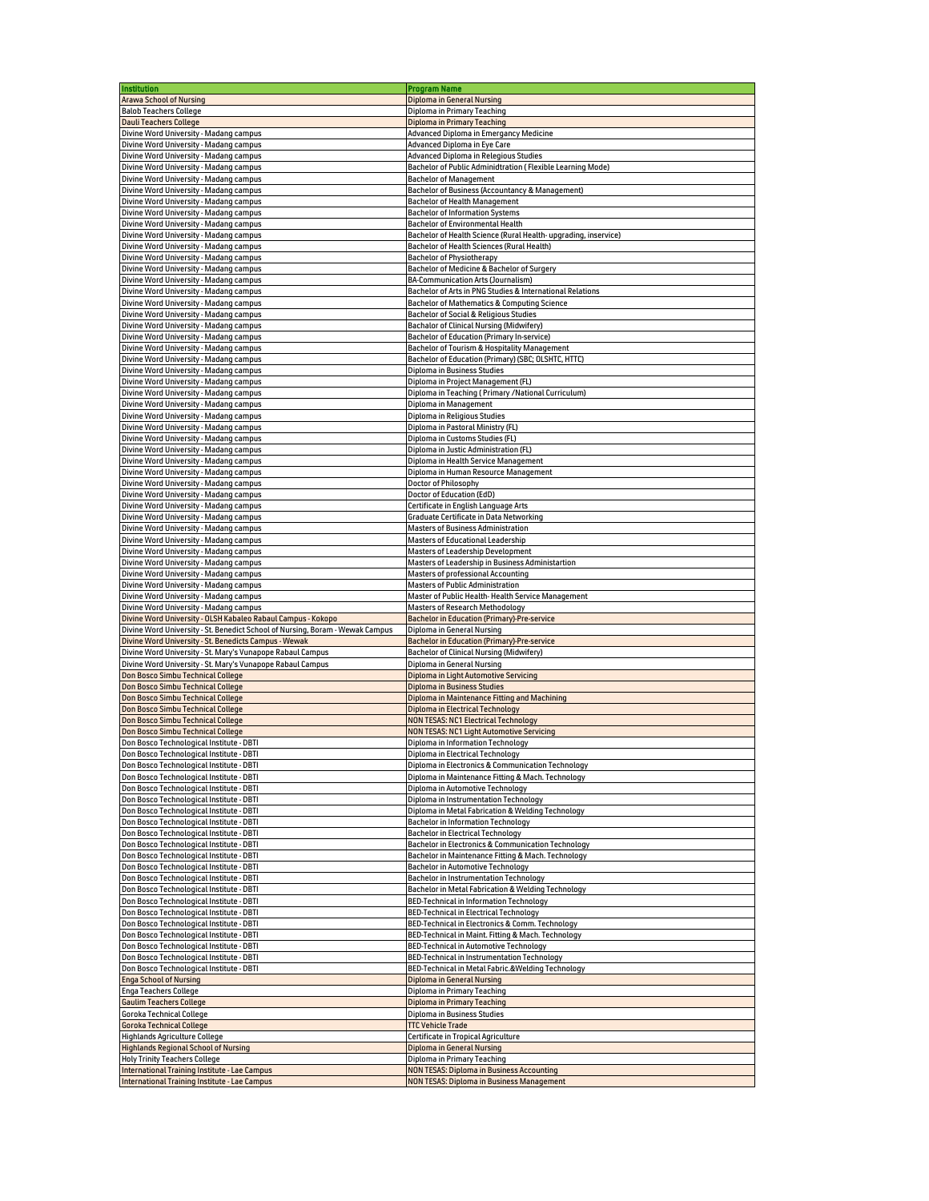| Institution                                                                                    | <b>Program Name</b>                                                                                  |
|------------------------------------------------------------------------------------------------|------------------------------------------------------------------------------------------------------|
|                                                                                                |                                                                                                      |
| <b>Arawa School of Nursing</b>                                                                 | <b>Diploma in General Nursing</b>                                                                    |
| <b>Balob Teachers College</b>                                                                  | Diploma in Primary Teaching                                                                          |
| <b>Dauli Teachers College</b>                                                                  | <b>Diploma in Primary Teaching</b>                                                                   |
| Divine Word University - Madang campus                                                         | Advanced Diploma in Emergancy Medicine                                                               |
| Divine Word University - Madang campus                                                         | Advanced Diploma in Eye Care                                                                         |
| Divine Word University - Madang campus                                                         | Advanced Diploma in Relegious Studies                                                                |
| Divine Word University - Madang campus                                                         | Bachelor of Public Adminidtration (Flexible Learning Mode)                                           |
|                                                                                                | <b>Bachelor of Management</b>                                                                        |
| Divine Word University - Madang campus                                                         |                                                                                                      |
| Divine Word University - Madang campus                                                         | Bachelor of Business (Accountancy & Management)                                                      |
| Divine Word University - Madang campus                                                         | Bachelor of Health Management                                                                        |
| Divine Word University - Madang campus                                                         | <b>Bachelor of Information Systems</b>                                                               |
| Divine Word University - Madang campus                                                         | Bachelor of Environmental Health                                                                     |
| Divine Word University - Madang campus                                                         | Bachelor of Health Science (Rural Health- upgrading, inservice)                                      |
| Divine Word University - Madang campus                                                         | Bachelor of Health Sciences (Rural Health)                                                           |
| Divine Word University - Madang campus                                                         |                                                                                                      |
|                                                                                                | <b>Bachelor of Physiotherapy</b>                                                                     |
| Divine Word University - Madang campus                                                         | Bachelor of Medicine & Bachelor of Surgery                                                           |
| Divine Word University - Madang campus                                                         | BA-Communication Arts (Journalism)                                                                   |
| Divine Word University - Madang campus                                                         | Bachelor of Arts in PNG Studies & International Relations                                            |
| Divine Word University - Madang campus                                                         | Bachelor of Mathematics & Computing Science                                                          |
| Divine Word University - Madang campus                                                         | Bachelor of Social & Religious Studies                                                               |
| Divine Word University - Madang campus                                                         | Bachalor of Clinical Nursing (Midwifery)                                                             |
| Divine Word University - Madang campus                                                         | Bachelor of Education (Primary In-service)                                                           |
|                                                                                                |                                                                                                      |
| Divine Word University - Madang campus                                                         | Bachelor of Tourism & Hospitality Management                                                         |
| Divine Word University - Madang campus                                                         | Bachelor of Education (Primary) (SBC; OLSHTC, HTTC)                                                  |
| Divine Word University - Madang campus                                                         | Diploma in Business Studies                                                                          |
| Divine Word University - Madang campus                                                         | Diploma in Project Management (FL)                                                                   |
| Divine Word University - Madang campus                                                         | Diploma in Teaching (Primary /National Curriculum)                                                   |
| Divine Word University - Madang campus                                                         | Diploma in Management                                                                                |
| Divine Word University - Madang campus                                                         | Diploma in Religious Studies                                                                         |
|                                                                                                | Diploma in Pastoral Ministry (FL)                                                                    |
| Divine Word University - Madang campus                                                         |                                                                                                      |
| Divine Word University - Madang campus                                                         | Diploma in Customs Studies (FL)                                                                      |
| Divine Word University - Madang campus                                                         | Diploma in Justic Administration (FL)                                                                |
| Divine Word University - Madang campus                                                         | Diploma in Health Service Management                                                                 |
| Divine Word University - Madang campus                                                         | Diploma in Human Resource Management                                                                 |
| Divine Word University - Madang campus                                                         | Doctor of Philosophy                                                                                 |
| Divine Word University - Madang campus                                                         | Doctor of Education (EdD)                                                                            |
| Divine Word University - Madang campus                                                         | Certificate in English Language Arts                                                                 |
|                                                                                                |                                                                                                      |
| Divine Word University - Madang campus                                                         | Graduate Certificate in Data Networking                                                              |
| Divine Word University - Madang campus                                                         | <b>Masters of Business Administration</b>                                                            |
| Divine Word University - Madang campus                                                         | <b>Masters of Educational Leadership</b>                                                             |
| Divine Word University - Madang campus                                                         | <b>Masters of Leadership Development</b>                                                             |
| Divine Word University - Madang campus                                                         | Masters of Leadership in Business Administartion                                                     |
| Divine Word University - Madang campus                                                         | Masters of professional Accounting                                                                   |
|                                                                                                |                                                                                                      |
| Divine Word University - Madang campus                                                         | <b>Masters of Public Administration</b>                                                              |
| Divine Word University - Madang campus                                                         | Master of Public Health-Health Service Management                                                    |
| Divine Word University - Madang campus                                                         | <b>Masters of Research Methodology</b>                                                               |
| Divine Word University - OLSH Kabaleo Rabaul Campus - Kokopo                                   | <b>Bachelor in Education (Primary)-Pre-service</b>                                                   |
| Divine Word University - St. Benedict School of Nursing, Boram - Wewak Campus                  | Diploma in General Nursing                                                                           |
| Divine Word University - St. Benedicts Campus - Wewak                                          | <b>Bachelor in Education (Primary)-Pre-service</b>                                                   |
| Divine Word University - St. Mary's Vunapope Rabaul Campus                                     | Bachelor of Clinical Nursing (Midwifery)                                                             |
|                                                                                                |                                                                                                      |
|                                                                                                |                                                                                                      |
| Divine Word University - St. Mary's Vunapope Rabaul Campus                                     | Diploma in General Nursing                                                                           |
| Don Bosco Simbu Technical College                                                              | Diploma in Light Automotive Servicing                                                                |
| Don Bosco Simbu Technical College                                                              | <b>Diploma in Business Studies</b>                                                                   |
| Don Bosco Simbu Technical College                                                              | Diploma in Maintenance Fitting and Machining                                                         |
| Don Bosco Simbu Technical College                                                              | Diploma in Electrical Technology                                                                     |
| Don Bosco Simbu Technical College                                                              | <b>NON TESAS: NC1 Electrical Technology</b>                                                          |
|                                                                                                |                                                                                                      |
| Don Bosco Simbu Technical College                                                              | <b>NON TESAS: NC1 Light Automotive Servicing</b>                                                     |
| Don Bosco Technological Institute - DBTI                                                       | Diploma in Information Technology                                                                    |
| Don Bosco Technological Institute - DBTI                                                       | Diploma in Electrical Technology                                                                     |
| Don Bosco Technological Institute - DBTI                                                       | Diploma in Electronics & Communication Technology                                                    |
| Don Bosco Technological Institute - DBTI                                                       | Diploma in Maintenance Fitting & Mach. Technology                                                    |
| Don Bosco Technological Institute - DBTI                                                       | Diploma in Automotive Technology                                                                     |
| Don Bosco Technological Institute - DBTI                                                       | Diploma in Instrumentation Technology                                                                |
|                                                                                                |                                                                                                      |
| Don Bosco Technological Institute - DBTI                                                       | Diploma in Metal Fabrication & Welding Technology                                                    |
| Don Bosco Technological Institute - DBTI                                                       | <b>Bachelor in Information Technology</b>                                                            |
| Don Bosco Technological Institute - DBTI                                                       | <b>Bachelor in Electrical Technology</b>                                                             |
| Don Bosco Technological Institute - DBTI                                                       | Bachelor in Electronics & Communication Technology                                                   |
| Don Bosco Technological Institute - DBTI                                                       | Bachelor in Maintenance Fitting & Mach. Technology                                                   |
| Don Bosco Technological Institute - DBTI                                                       | Bachelor in Automotive Technology                                                                    |
|                                                                                                |                                                                                                      |
| Don Bosco Technological Institute - DBTI                                                       | Bachelor in Instrumentation Technology                                                               |
| Don Bosco Technological Institute - DBTI                                                       | Bachelor in Metal Fabrication & Welding Technology                                                   |
| Don Bosco Technological Institute - DBTI                                                       | <b>BED-Technical in Information Technology</b>                                                       |
| Don Bosco Technological Institute - DBTI                                                       | <b>BED-Technical in Electrical Technology</b>                                                        |
| Don Bosco Technological Institute - DBTI                                                       | BED-Technical in Electronics & Comm. Technology                                                      |
| Don Bosco Technological Institute - DBTI                                                       | BED-Technical in Maint. Fitting & Mach. Technology                                                   |
| Don Bosco Technological Institute - DBTI                                                       | BED-Technical in Automotive Technology                                                               |
| Don Bosco Technological Institute - DBTI                                                       | BED-Technical in Instrumentation Technology                                                          |
|                                                                                                |                                                                                                      |
| Don Bosco Technological Institute - DBTI                                                       | BED-Technical in Metal Fabric.&Welding Technology                                                    |
| <b>Enga School of Nursing</b>                                                                  | <b>Diploma in General Nursing</b>                                                                    |
| Enga Teachers College                                                                          | Diploma in Primary Teaching                                                                          |
| <b>Gaulim Teachers College</b>                                                                 | <b>Diploma in Primary Teaching</b>                                                                   |
| Goroka Technical College                                                                       | Diploma in Business Studies                                                                          |
| <b>Goroka Technical College</b>                                                                | <b>TTC Vehicle Trade</b>                                                                             |
| Highlands Agriculture College                                                                  | Certificate in Tropical Agriculture                                                                  |
| <b>Highlands Regional School of Nursing</b>                                                    | <b>Diploma in General Nursing</b>                                                                    |
|                                                                                                |                                                                                                      |
| <b>Holy Trinity Teachers College</b>                                                           | Diploma in Primary Teaching                                                                          |
| International Training Institute - Lae Campus<br>International Training Institute - Lae Campus | <b>NON TESAS: Diploma in Business Accounting</b><br><b>NON TESAS: Diploma in Business Management</b> |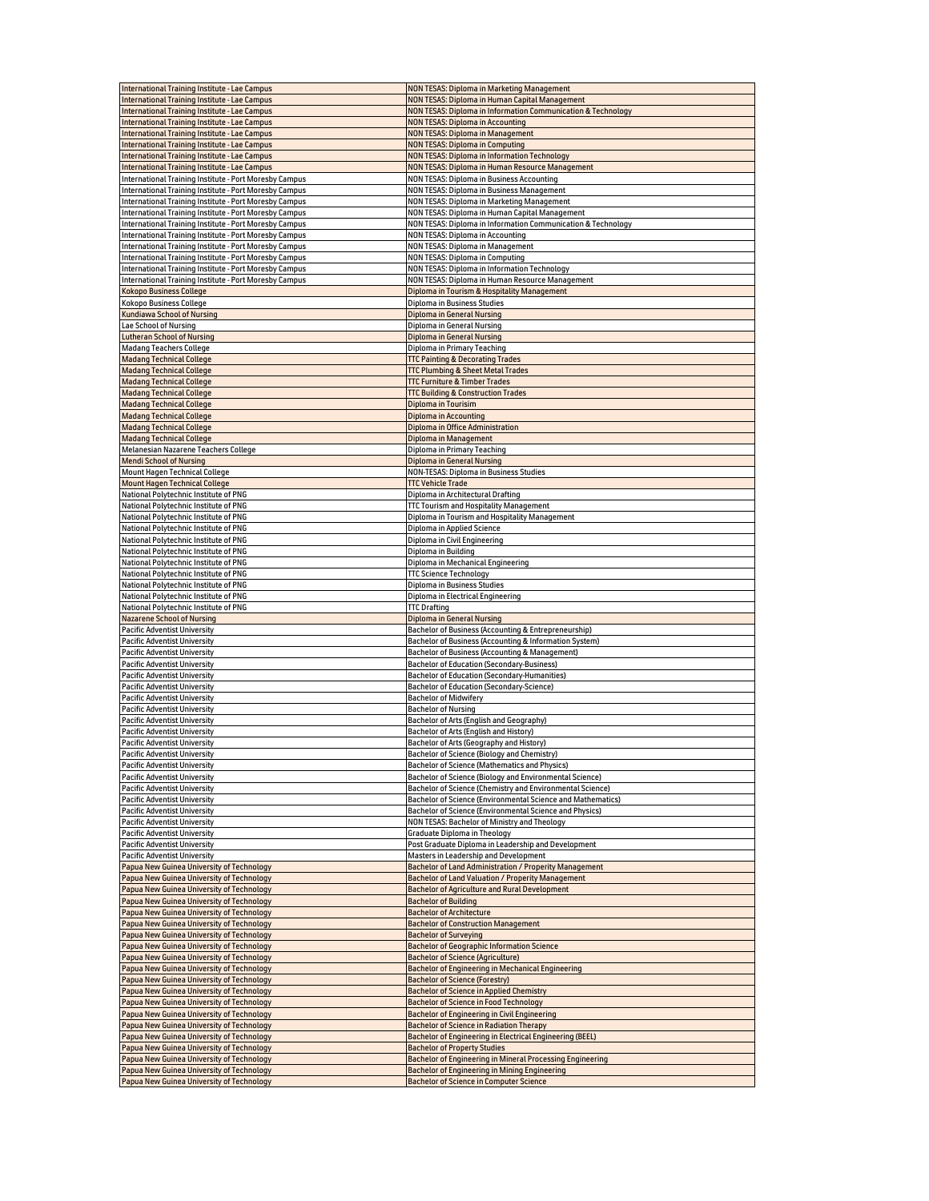| International Training Institute - Lae Campus          | <b>NON TESAS: Diploma in Marketing Management</b>             |
|--------------------------------------------------------|---------------------------------------------------------------|
| International Training Institute - Lae Campus          | NON TESAS: Diploma in Human Capital Management                |
| <b>International Training Institute - Lae Campus</b>   | NON TESAS: Diploma in Information Communication & Technology  |
| International Training Institute - Lae Campus          | <b>NON TESAS: Diploma in Accounting</b>                       |
| International Training Institute - Lae Campus          | NON TESAS: Diploma in Management                              |
| International Training Institute - Lae Campus          | <b>NON TESAS: Diploma in Computing</b>                        |
| International Training Institute - Lae Campus          | NON TESAS: Diploma in Information Technology                  |
| International Training Institute - Lae Campus          | NON TESAS: Diploma in Human Resource Management               |
| International Training Institute - Port Moresby Campus | NON TESAS: Diploma in Business Accounting                     |
| International Training Institute - Port Moresby Campus | NON TESAS: Diploma in Business Management                     |
| International Training Institute - Port Moresby Campus | NON TESAS: Diploma in Marketing Management                    |
| International Training Institute - Port Moresby Campus | NON TESAS: Diploma in Human Capital Management                |
| International Training Institute - Port Moresby Campus | NON TESAS: Diploma in Information Communication & Technology  |
| International Training Institute - Port Moresby Campus | NON TESAS: Diploma in Accounting                              |
| International Training Institute - Port Moresby Campus | NON TESAS: Diploma in Management                              |
| International Training Institute - Port Moresby Campus | NON TESAS: Diploma in Computing                               |
| International Training Institute - Port Moresby Campus | NON TESAS: Diploma in Information Technology                  |
| International Training Institute - Port Moresby Campus | NON TESAS: Diploma in Human Resource Management               |
| <b>Kokopo Business College</b>                         | Diploma in Tourism & Hospitality Management                   |
| Kokopo Business College                                | Diploma in Business Studies                                   |
| <b>Kundiawa School of Nursing</b>                      | <b>Diploma in General Nursing</b>                             |
| Lae School of Nursing                                  | Diploma in General Nursing                                    |
| <b>Lutheran School of Nursing</b>                      | Diploma in General Nursing                                    |
| Madang Teachers College                                | Diploma in Primary Teaching                                   |
| <b>Madang Technical College</b>                        | <b>TTC Painting &amp; Decorating Trades</b>                   |
| <b>Madang Technical College</b>                        | <b>TTC Plumbing &amp; Sheet Metal Trades</b>                  |
| <b>Madang Technical College</b>                        | <b>TTC Furniture &amp; Timber Trades</b>                      |
| <b>Madang Technical College</b>                        | <b>TTC Building &amp; Construction Trades</b>                 |
| <b>Madang Technical College</b>                        | Diploma in Tourisim                                           |
| <b>Madang Technical College</b>                        | Diploma in Accounting                                         |
| <b>Madang Technical College</b>                        | Diploma in Office Administration                              |
| <b>Madang Technical College</b>                        |                                                               |
| Melanesian Nazarene Teachers College                   | Diploma in Management                                         |
|                                                        | Diploma in Primary Teaching                                   |
| <b>Mendi School of Nursing</b>                         | <b>Diploma in General Nursing</b>                             |
| Mount Hagen Technical College                          | NON-TESAS: Diploma in Business Studies                        |
| <b>Mount Hagen Technical College</b>                   | <b>TTC Vehicle Trade</b>                                      |
| National Polytechnic Institute of PNG                  | Diploma in Architectural Drafting                             |
| National Polytechnic Institute of PNG                  | TTC Tourism and Hospitality Management                        |
| National Polytechnic Institute of PNG                  | Diploma in Tourism and Hospitality Management                 |
| National Polytechnic Institute of PNG                  | Diploma in Applied Science                                    |
| National Polytechnic Institute of PNG                  | Diploma in Civil Engineering                                  |
| National Polytechnic Institute of PNG                  | Diploma in Building                                           |
| National Polytechnic Institute of PNG                  | Diploma in Mechanical Engineering                             |
| National Polytechnic Institute of PNG                  | <b>TTC Science Technology</b>                                 |
| National Polytechnic Institute of PNG                  | Diploma in Business Studies                                   |
| National Polytechnic Institute of PNG                  | Diploma in Electrical Engineering                             |
| National Polytechnic Institute of PNG                  | <b>TTC Drafting</b>                                           |
| <b>Nazarene School of Nursing</b>                      | <b>Diploma in General Nursing</b>                             |
| <b>Pacific Adventist University</b>                    | Bachelor of Business (Accounting & Entrepreneurship)          |
| <b>Pacific Adventist University</b>                    | Bachelor of Business (Accounting & Information System)        |
| <b>Pacific Adventist University</b>                    | Bachelor of Business (Accounting & Management)                |
| <b>Pacific Adventist University</b>                    | Bachelor of Education (Secondary-Business)                    |
| Pacific Adventist University                           | Bachelor of Education (Secondary-Humanities)                  |
| <b>Pacific Adventist University</b>                    | Bachelor of Education (Secondary-Science)                     |
| <b>Pacific Adventist University</b>                    | <b>Bachelor of Midwifery</b>                                  |
| <b>Pacific Adventist University</b>                    | <b>Bachelor of Nursing</b>                                    |
| <b>Pacific Adventist University</b>                    | Bachelor of Arts (English and Geography)                      |
| <b>Pacific Adventist University</b>                    | Bachelor of Arts (English and History)                        |
| <b>Pacific Adventist University</b>                    | Bachelor of Arts (Geography and History)                      |
| <b>Pacific Adventist University</b>                    | Bachelor of Science (Biology and Chemistry)                   |
| <b>Pacific Adventist University</b>                    | Bachelor of Science (Mathematics and Physics)                 |
| <b>Pacific Adventist University</b>                    | Bachelor of Science (Biology and Environmental Science)       |
| <b>Pacific Adventist University</b>                    | Bachelor of Science (Chemistry and Environmental Science)     |
| <b>Pacific Adventist University</b>                    | Bachelor of Science (Environmental Science and Mathematics)   |
| <b>Pacific Adventist University</b>                    | Bachelor of Science (Environmental Science and Physics)       |
| <b>Pacific Adventist University</b>                    | NON TESAS: Bachelor of Ministry and Theology                  |
| <b>Pacific Adventist University</b>                    | Graduate Diploma in Theology                                  |
| <b>Pacific Adventist University</b>                    | Post Graduate Diploma in Leadership and Development           |
| <b>Pacific Adventist University</b>                    | Masters in Leadership and Development                         |
| Papua New Guinea University of Technology              | <b>Bachelor of Land Administration / Properity Management</b> |
| Papua New Guinea University of Technology              | <b>Bachelor of Land Valuation / Properity Management</b>      |
| Papua New Guinea University of Technology              | <b>Bachelor of Agriculture and Rural Development</b>          |
| Papua New Guinea University of Technology              | <b>Bachelor of Building</b>                                   |
| Papua New Guinea University of Technology              | <b>Bachelor of Architecture</b>                               |
| Papua New Guinea University of Technology              | <b>Bachelor of Construction Management</b>                    |
| Papua New Guinea University of Technology              | <b>Bachelor of Surveying</b>                                  |
| Papua New Guinea University of Technology              | <b>Bachelor of Geographic Information Science</b>             |
| Papua New Guinea University of Technology              | <b>Bachelor of Science (Agriculture)</b>                      |
| Papua New Guinea University of Technology              | Bachelor of Engineering in Mechanical Engineering             |
| Papua New Guinea University of Technology              | <b>Bachelor of Science (Forestry)</b>                         |
| Papua New Guinea University of Technology              | <b>Bachelor of Science in Applied Chemistry</b>               |
| Papua New Guinea University of Technology              | <b>Bachelor of Science in Food Technology</b>                 |
| Papua New Guinea University of Technology              | <b>Bachelor of Engineering in Civil Engineering</b>           |
| Papua New Guinea University of Technology              | <b>Bachelor of Science in Radiation Therapy</b>               |
| Papua New Guinea University of Technology              | Bachelor of Engineering in Electrical Engineering (BEEL)      |
| Papua New Guinea University of Technology              | <b>Bachelor of Property Studies</b>                           |
| Papua New Guinea University of Technology              | Bachelor of Engineering in Mineral Processing Engineering     |
| Papua New Guinea University of Technology              | <b>Bachelor of Engineering in Mining Engineering</b>          |
| Papua New Guinea University of Technology              | <b>Bachelor of Science in Computer Science</b>                |
|                                                        |                                                               |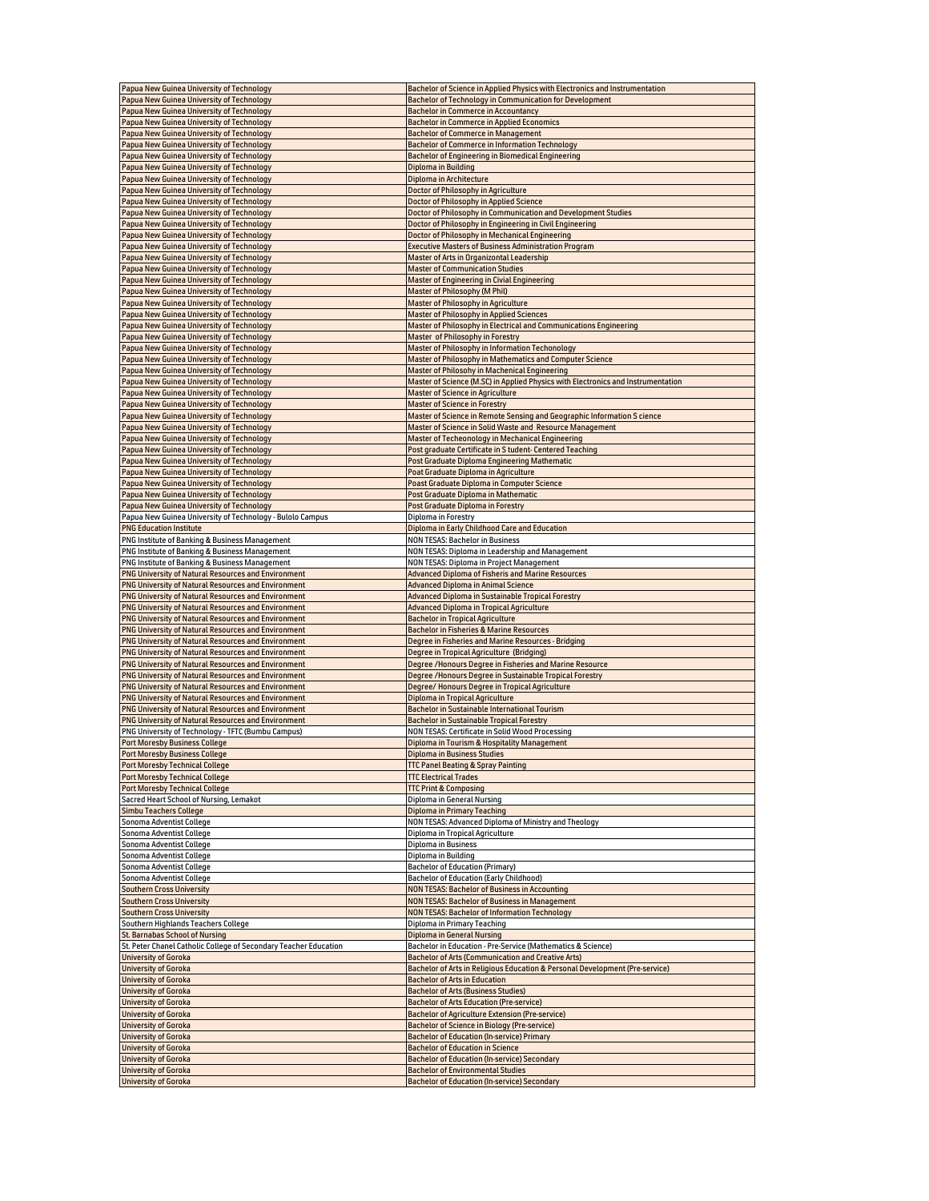| Papua New Guinea University of Technology                        | Bachelor of Science in Applied Physics with Electronics and Instrumentation                     |
|------------------------------------------------------------------|-------------------------------------------------------------------------------------------------|
| Papua New Guinea University of Technology                        | <b>Bachelor of Technology in Communication for Development</b>                                  |
| Papua New Guinea University of Technology                        | <b>Bachelor in Commerce in Accountancy</b>                                                      |
| Papua New Guinea University of Technology                        | <b>Bachelor in Commerce in Applied Economics</b>                                                |
| Papua New Guinea University of Technology                        | <b>Bachelor of Commerce in Management</b>                                                       |
|                                                                  |                                                                                                 |
| Papua New Guinea University of Technology                        | <b>Bachelor of Commerce in Information Technology</b>                                           |
| Papua New Guinea University of Technology                        | Bachelor of Engineering in Biomedical Engineering                                               |
| Papua New Guinea University of Technology                        | Diploma in Building                                                                             |
| Papua New Guinea University of Technology                        | Diploma in Architecture                                                                         |
| Papua New Guinea University of Technology                        | <b>Doctor of Philosophy in Agriculture</b>                                                      |
|                                                                  |                                                                                                 |
| Papua New Guinea University of Technology                        | Doctor of Philosophy in Applied Science                                                         |
| Papua New Guinea University of Technology                        | Doctor of Philosophy in Communication and Development Studies                                   |
| Papua New Guinea University of Technology                        | Doctor of Philosophy in Engineering in Civil Engineering                                        |
| Papua New Guinea University of Technology                        | Doctor of Philosophy in Mechanical Engineering                                                  |
| Papua New Guinea University of Technology                        | <b>Executive Masters of Business Administration Program</b>                                     |
| Papua New Guinea University of Technology                        | Master of Arts in Organizontal Leadership                                                       |
|                                                                  |                                                                                                 |
| Papua New Guinea University of Technology                        | <b>Master of Communication Studies</b>                                                          |
| Papua New Guinea University of Technology                        | Master of Engineering in Civial Engineering                                                     |
| Papua New Guinea University of Technology                        | Master of Philosophy (M Phil)                                                                   |
| Papua New Guinea University of Technology                        | Master of Philosophy in Agriculture                                                             |
| Papua New Guinea University of Technology                        | <b>Master of Philosophy in Applied Sciences</b>                                                 |
| Papua New Guinea University of Technology                        | Master of Philosophy in Electrical and Communications Engineering                               |
|                                                                  |                                                                                                 |
| Papua New Guinea University of Technology                        | Master of Philosophy in Forestry                                                                |
| Papua New Guinea University of Technology                        | Master of Philosophy in Information Techonology                                                 |
| Papua New Guinea University of Technology                        | Master of Philosophy in Mathematics and Computer Science                                        |
| Papua New Guinea University of Technology                        | Master of Philosohy in Machenical Engineering                                                   |
| Papua New Guinea University of Technology                        | Master of Science (M.SC) in Applied Physics with Electronics and Instrumentation                |
| Papua New Guinea University of Technology                        | <b>Master of Science in Agriculture</b>                                                         |
|                                                                  |                                                                                                 |
| Papua New Guinea University of Technology                        | <b>Master of Science in Forestry</b>                                                            |
| Papua New Guinea University of Technology                        | Master of Science in Remote Sensing and Geographic Information S cience                         |
| Papua New Guinea University of Technology                        | Master of Science in Solid Waste and Resource Management                                        |
| Papua New Guinea University of Technology                        | Master of Techeonology in Mechanical Engineering                                                |
| Papua New Guinea University of Technology                        | Post graduate Certificate in S tudent- Centered Teaching                                        |
|                                                                  |                                                                                                 |
| Papua New Guinea University of Technology                        | Post Graduate Diploma Engineering Mathematic                                                    |
| Papua New Guinea University of Technology                        | Poat Graduate Diploma in Agriculture                                                            |
| Papua New Guinea University of Technology                        | Poast Graduate Diploma in Computer Science                                                      |
| Papua New Guinea University of Technology                        | Post Graduate Diploma in Mathematic                                                             |
| Papua New Guinea University of Technology                        | Post Graduate Diploma in Forestry                                                               |
|                                                                  | Diploma in Forestry                                                                             |
| Papua New Guinea University of Technology - Bulolo Campus        |                                                                                                 |
| <b>PNG Education Institute</b>                                   | Diploma in Early Childhood Care and Education                                                   |
| PNG Institute of Banking & Business Management                   | <b>NON TESAS: Bachelor in Business</b>                                                          |
| PNG Institute of Banking & Business Management                   | NON TESAS: Diploma in Leadership and Management                                                 |
| PNG Institute of Banking & Business Management                   | NON TESAS: Diploma in Project Management                                                        |
| PNG University of Natural Resources and Environment              | Advanced Diploma of Fisheris and Marine Resources                                               |
| <b>PNG University of Natural Resources and Environment</b>       | <b>Advanced Diploma in Animal Science</b>                                                       |
|                                                                  |                                                                                                 |
| PNG University of Natural Resources and Environment              | Advanced Diploma in Sustainable Tropical Forestry                                               |
| PNG University of Natural Resources and Environment              | Advanced Diploma in Tropical Agriculture                                                        |
| PNG University of Natural Resources and Environment              | <b>Bachelor in Tropical Agriculture</b>                                                         |
| PNG University of Natural Resources and Environment              | <b>Bachelor in Fisheries &amp; Marine Resources</b>                                             |
| PNG University of Natural Resources and Environment              | Degree in Fisheries and Marine Resources - Bridging                                             |
| <b>PNG University of Natural Resources and Environment</b>       |                                                                                                 |
|                                                                  | Degree in Tropical Agriculture (Bridging)                                                       |
|                                                                  |                                                                                                 |
| PNG University of Natural Resources and Environment              | Degree /Honours Degree in Fisheries and Marine Resource                                         |
| PNG University of Natural Resources and Environment              | Degree /Honours Degree in Sustainable Tropical Forestry                                         |
| PNG University of Natural Resources and Environment              | Degree/Honours Degree in Tropical Agriculture                                                   |
|                                                                  |                                                                                                 |
| PNG University of Natural Resources and Environment              | Diploma in Tropical Agriculture                                                                 |
| PNG University of Natural Resources and Environment              | Bachelor in Sustainable International Tourism                                                   |
| PNG University of Natural Resources and Environment              | <b>Bachelor in Sustainable Tropical Forestry</b>                                                |
| PNG University of Technology - TFTC (Bumbu Campus)               | NON TESAS: Certificate in Solid Wood Processing                                                 |
| <b>Port Moresby Business College</b>                             | Diploma in Tourism & Hospitality Management                                                     |
| <b>Port Moresby Business College</b>                             | <b>Diploma in Business Studies</b>                                                              |
|                                                                  |                                                                                                 |
| <b>Port Moresby Technical College</b>                            | <b>TTC Panel Beating &amp; Spray Painting</b>                                                   |
| <b>Port Moresby Technical College</b>                            | <b>TTC Electrical Trades</b>                                                                    |
| <b>Port Moresby Technical College</b>                            | <b>TTC Print &amp; Composing</b>                                                                |
| Sacred Heart School of Nursing, Lemakot                          | Diploma in General Nursing                                                                      |
| <b>Simbu Teachers College</b>                                    | <b>Diploma in Primary Teaching</b>                                                              |
| Sonoma Adventist College                                         | NON TESAS: Advanced Diploma of Ministry and Theology                                            |
| Sonoma Adventist College                                         | Diploma in Tropical Agriculture                                                                 |
| Sonoma Adventist College                                         | Diploma in Business                                                                             |
|                                                                  |                                                                                                 |
| Sonoma Adventist College                                         | Diploma in Building                                                                             |
| Sonoma Adventist College                                         | <b>Bachelor of Education (Primary)</b>                                                          |
| Sonoma Adventist College                                         | Bachelor of Education (Early Childhood)                                                         |
| <b>Southern Cross University</b>                                 | <b>NON TESAS: Bachelor of Business in Accounting</b>                                            |
| <b>Southern Cross University</b>                                 | <b>NON TESAS: Bachelor of Business in Management</b>                                            |
| <b>Southern Cross University</b>                                 | <b>NON TESAS: Bachelor of Information Technology</b>                                            |
| Southern Highlands Teachers College                              | Diploma in Primary Teaching                                                                     |
|                                                                  |                                                                                                 |
| St. Barnabas School of Nursing                                   | <b>Diploma in General Nursing</b>                                                               |
| St. Peter Chanel Catholic College of Secondary Teacher Education | Bachelor in Education - Pre-Service (Mathematics & Science)                                     |
| <b>University of Goroka</b>                                      | <b>Bachelor of Arts (Communication and Creative Arts)</b>                                       |
| <b>University of Goroka</b>                                      | Bachelor of Arts in Religious Education & Personal Development (Pre-service)                    |
| <b>University of Goroka</b>                                      | <b>Bachelor of Arts in Education</b>                                                            |
| <b>University of Goroka</b>                                      | <b>Bachelor of Arts (Business Studies)</b>                                                      |
|                                                                  |                                                                                                 |
| <b>University of Goroka</b>                                      | <b>Bachelor of Arts Education (Pre-service)</b>                                                 |
| <b>University of Goroka</b>                                      | <b>Bachelor of Agriculture Extension (Pre-service)</b>                                          |
| <b>University of Goroka</b>                                      | <b>Bachelor of Science in Biology (Pre-service)</b>                                             |
| <b>University of Goroka</b>                                      | <b>Bachelor of Education (In-service) Primary</b>                                               |
| <b>University of Goroka</b>                                      | <b>Bachelor of Education in Science</b>                                                         |
| <b>University of Goroka</b>                                      | <b>Bachelor of Education (In-service) Secondary</b>                                             |
|                                                                  |                                                                                                 |
| <b>University of Goroka</b><br><b>University of Goroka</b>       | <b>Bachelor of Environmental Studies</b><br><b>Bachelor of Education (In-service) Secondary</b> |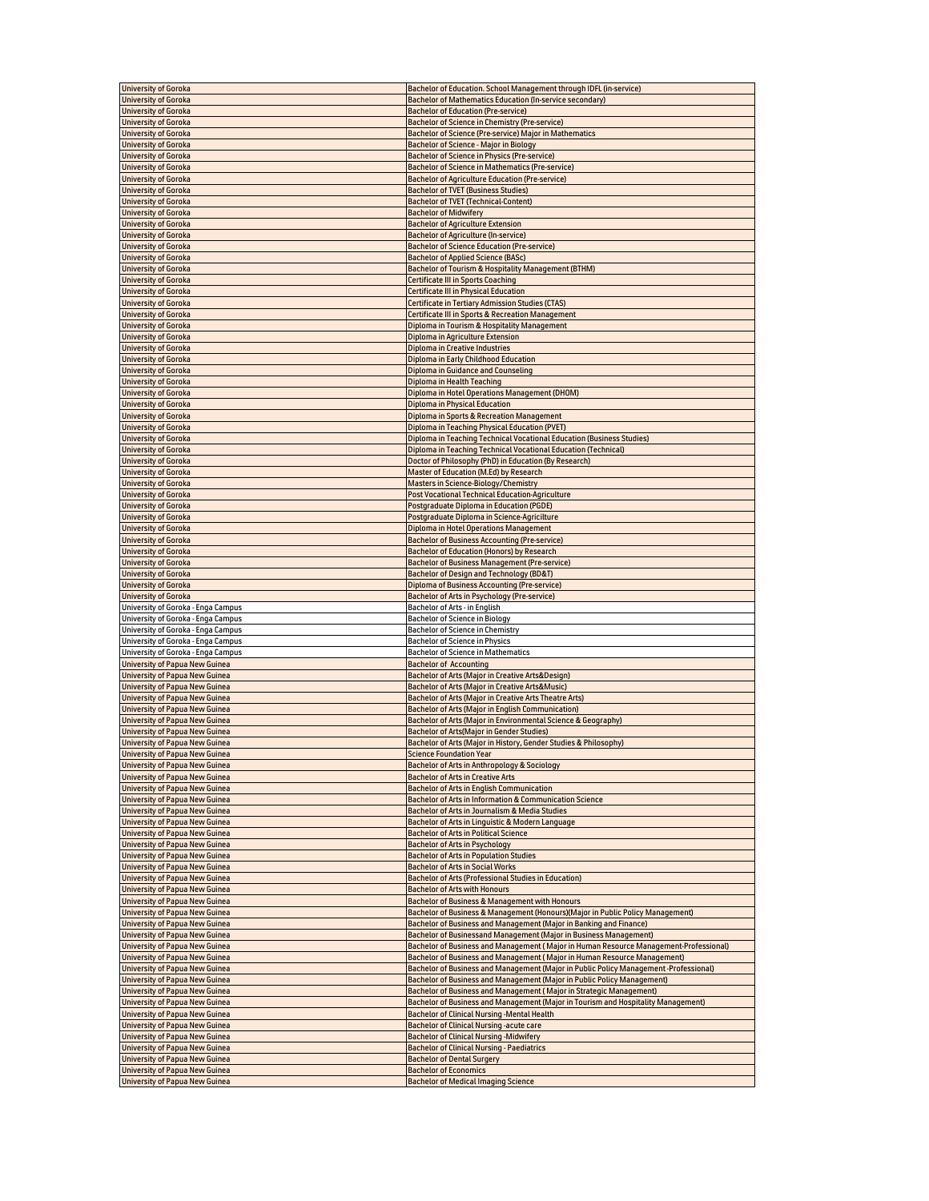| <b>University of Goroka</b>                                                    | Bachelor of Education. School Management through IDFL (in-service)                    |
|--------------------------------------------------------------------------------|---------------------------------------------------------------------------------------|
| <b>University of Goroka</b>                                                    | Bachelor of Mathematics Education (In-service secondary)                              |
| <b>University of Goroka</b>                                                    | <b>Bachelor of Education (Pre-service)</b>                                            |
| <b>University of Goroka</b>                                                    | Bachelor of Science in Chemistry (Pre-service)                                        |
| <b>University of Goroka</b>                                                    | Bachelor of Science (Pre-service) Major in Mathematics                                |
| <b>University of Goroka</b>                                                    | Bachelor of Science - Major in Biology                                                |
| <b>University of Goroka</b>                                                    | <b>Bachelor of Science in Physics (Pre-service)</b>                                   |
| <b>University of Goroka</b>                                                    | Bachelor of Science in Mathematics (Pre-service)                                      |
| <b>University of Goroka</b>                                                    | <b>Bachelor of Agriculture Education (Pre-service)</b>                                |
| <b>University of Goroka</b>                                                    | <b>Bachelor of TVET (Business Studies)</b>                                            |
| <b>University of Goroka</b>                                                    | <b>Bachelor of TVET (Technical-Content)</b>                                           |
| <b>University of Goroka</b>                                                    | <b>Bachelor of Midwifery</b>                                                          |
| <b>University of Goroka</b>                                                    | <b>Bachelor of Agriculture Extension</b>                                              |
| <b>University of Goroka</b>                                                    | <b>Bachelor of Agriculture (In-service)</b>                                           |
| <b>University of Goroka</b>                                                    | <b>Bachelor of Science Education (Pre-service)</b>                                    |
|                                                                                |                                                                                       |
| <b>University of Goroka</b>                                                    | <b>Bachelor of Applied Science (BASc)</b>                                             |
| <b>University of Goroka</b>                                                    | Bachelor of Tourism & Hospitality Management (BTHM)                                   |
| <b>University of Goroka</b>                                                    | <b>Certificate III in Sports Coaching</b>                                             |
| <b>University of Goroka</b>                                                    | <b>Certificate III in Physical Education</b>                                          |
| <b>University of Goroka</b>                                                    | <b>Certificate in Tertiary Admission Studies (CTAS)</b>                               |
| <b>University of Goroka</b>                                                    | <b>Certificate III in Sports &amp; Recreation Management</b>                          |
| <b>University of Goroka</b>                                                    | Diploma in Tourism & Hospitality Management                                           |
| <b>University of Goroka</b>                                                    | Diploma in Agriculture Extension                                                      |
| <b>University of Goroka</b>                                                    | Diploma in Creative Industries                                                        |
| <b>University of Goroka</b>                                                    | Diploma in Early Childhood Education                                                  |
| <b>University of Goroka</b>                                                    | Diploma in Guidance and Counseling                                                    |
| <b>University of Goroka</b>                                                    | Diploma in Health Teaching                                                            |
| <b>University of Goroka</b>                                                    | Diploma in Hotel Operations Management (DHOM)                                         |
| <b>University of Goroka</b>                                                    | Diploma in Physical Education                                                         |
| <b>University of Goroka</b>                                                    | Diploma in Sports & Recreation Management                                             |
| <b>University of Goroka</b>                                                    | Diploma in Teaching Physical Education (PVET)                                         |
| <b>University of Goroka</b>                                                    | Diploma in Teaching Technical Vocational Education (Business Studies)                 |
| <b>University of Goroka</b>                                                    | Diploma in Teaching Technical Vocational Education (Technical)                        |
| <b>University of Goroka</b>                                                    | Doctor of Philosophy (PhD) in Education (By Research)                                 |
| <b>University of Goroka</b>                                                    | Master of Education (M.Ed) by Research                                                |
| <b>University of Goroka</b>                                                    | <b>Masters in Science-Biology/Chemistry</b>                                           |
| <b>University of Goroka</b>                                                    | <b>Post Vocational Technical Education-Agriculture</b>                                |
| <b>University of Goroka</b>                                                    | Postgraduate Diploma in Education (PGDE)                                              |
| <b>University of Goroka</b>                                                    | Postgraduate Diploma in Science-Agricilture                                           |
|                                                                                |                                                                                       |
| <b>University of Goroka</b>                                                    | Diploma in Hotel Operations Management                                                |
| <b>University of Goroka</b>                                                    | <b>Bachelor of Business Accounting (Pre-service)</b>                                  |
| <b>University of Goroka</b>                                                    | Bachelor of Education (Honors) by Research                                            |
| <b>University of Goroka</b>                                                    | <b>Bachelor of Business Management (Pre-service)</b>                                  |
| <b>University of Goroka</b>                                                    | Bachelor of Design and Technology (BD&T)                                              |
| <b>University of Goroka</b>                                                    | Diploma of Business Accounting (Pre-service)                                          |
| <b>University of Goroka</b>                                                    | <b>Bachelor of Arts in Psychology (Pre-service)</b>                                   |
| University of Goroka - Enga Campus                                             | Bachelor of Arts - in English                                                         |
| University of Goroka - Enga Campus                                             | Bachelor of Science in Biology                                                        |
| University of Goroka - Enga Campus                                             | Bachelor of Science in Chemistry                                                      |
| University of Goroka - Enga Campus                                             | <b>Bachelor of Science in Physics</b>                                                 |
| University of Goroka - Enga Campus                                             | <b>Bachelor of Science in Mathematics</b>                                             |
| <b>University of Papua New Guinea</b>                                          | <b>Bachelor of Accounting</b>                                                         |
| <b>University of Papua New Guinea</b>                                          | Bachelor of Arts (Major in Creative Arts&Design)                                      |
| <b>University of Papua New Guinea</b>                                          | Bachelor of Arts (Major in Creative Arts&Music)                                       |
| <b>University of Papua New Guinea</b>                                          | Bachelor of Arts (Major in Creative Arts Theatre Arts)                                |
| <b>University of Papua New Guinea</b>                                          | Bachelor of Arts (Major in English Communication)                                     |
| <b>University of Papua New Guinea</b>                                          | Bachelor of Arts (Major in Environmental Science & Geography)                         |
| <b>University of Papua New Guinea</b>                                          |                                                                                       |
|                                                                                |                                                                                       |
|                                                                                | Bachelor of Arts(Major in Gender Studies)                                             |
| <b>University of Papua New Guinea</b>                                          | Bachelor of Arts (Major in History, Gender Studies & Philosophy)                      |
| <b>University of Papua New Guinea</b>                                          | <b>Science Foundation Year</b>                                                        |
| University of Papua New Guinea                                                 | Bachelor of Arts in Anthropology & Sociology                                          |
| <b>University of Papua New Guinea</b>                                          | <b>Bachelor of Arts in Creative Arts</b>                                              |
| <b>University of Papua New Guinea</b>                                          | <b>Bachelor of Arts in English Communication</b>                                      |
| <b>University of Papua New Guinea</b>                                          | Bachelor of Arts in Information & Communication Science                               |
| <b>University of Papua New Guinea</b>                                          | Bachelor of Arts in Journalism & Media Studies                                        |
| <b>University of Papua New Guinea</b>                                          | Bachelor of Arts in Linquistic & Modern Language                                      |
| <b>University of Papua New Guinea</b>                                          | <b>Bachelor of Arts in Political Science</b>                                          |
| <b>University of Papua New Guinea</b>                                          | <b>Bachelor of Arts in Psychology</b>                                                 |
| <b>University of Papua New Guinea</b>                                          | <b>Bachelor of Arts in Population Studies</b>                                         |
| <b>University of Papua New Guinea</b>                                          | <b>Bachelor of Arts in Social Works</b>                                               |
| <b>University of Papua New Guinea</b>                                          | Bachelor of Arts (Professional Studies in Education)                                  |
| <b>University of Papua New Guinea</b>                                          | <b>Bachelor of Arts with Honours</b>                                                  |
| <b>University of Papua New Guinea</b>                                          | Bachelor of Business & Management with Honours                                        |
| <b>University of Papua New Guinea</b>                                          | Bachelor of Business & Management (Honours)(Major in Public Policy Management)        |
| <b>University of Papua New Guinea</b>                                          | Bachelor of Business and Management (Major in Banking and Finance)                    |
| <b>University of Papua New Guinea</b>                                          | Bachelor of Businessand Management (Major in Business Management)                     |
| Jniversity of Papua New Guinea                                                 | Bachelor of Business and Management (Major in Human Resource Management-Professional) |
| <b>University of Papua New Guinea</b>                                          | Bachelor of Business and Management (Major in Human Resource Management)              |
| <b>University of Papua New Guinea</b>                                          | Bachelor of Business and Management (Major in Public Policy Management -Professional) |
| <b>University of Papua New Guinea</b>                                          | Bachelor of Business and Management (Major in Public Policy Management)               |
| <b>University of Papua New Guinea</b>                                          | Bachelor of Business and Management (Major in Strategic Management)                   |
| <b>University of Papua New Guinea</b>                                          | Bachelor of Business and Management (Major in Tourism and Hospitality Management)     |
|                                                                                |                                                                                       |
| <b>University of Papua New Guinea</b>                                          | <b>Bachelor of Clinical Nursing -Mental Health</b>                                    |
| <b>University of Papua New Guinea</b>                                          | Bachelor of Clinical Nursing -acute care                                              |
| <b>University of Papua New Guinea</b>                                          | <b>Bachelor of Clinical Nursing -Midwifery</b>                                        |
| <b>University of Papua New Guinea</b>                                          | <b>Bachelor of Clinical Nursing - Paediatrics</b>                                     |
| <b>University of Papua New Guinea</b>                                          | <b>Bachelor of Dental Surgery</b>                                                     |
| <b>University of Papua New Guinea</b><br><b>University of Papua New Guinea</b> | <b>Bachelor of Economics</b><br><b>Bachelor of Medical Imaging Science</b>            |